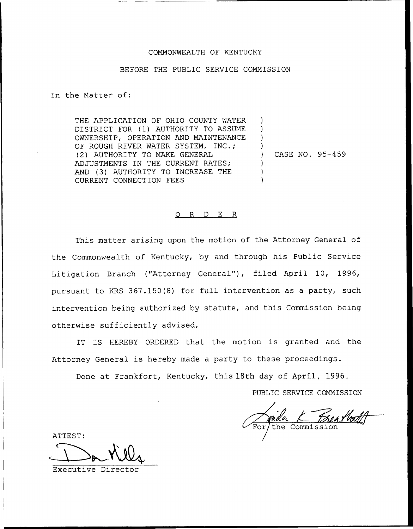## COMMONWEALTH OF KENTUCKY

### BEFORE THE PUBLIC SERVICE COMMISSION

In the Matter of:

THE APPLICATION OF OHIO COUNTY WATER DISTRICT FOR (1) AUTHORITY TO ASSUME OWNERSHIP, OPERATION AND MAINTENANCE OF ROUGH RIVER WATER SYSTEM, INC.; (2) AUTHORITY TO MAKE GENERAL ADJUSTMENTS IN THE CURRENT RATES; AND (3) AUTHORITY TO INCREASE THE CURRENT CONNECTION FEES

) CASE NO. 95-459

 $\lambda$ ) ) )

> ) ) )

### 0 R <sup>D</sup> E R

This matter arising upon the motion of the Attorney General of the Commonwealth of Kentucky, by and through his Public Service Litigation Branch ("Attorney General"), filed April 10, 1996, pursuant to KRS 367.150(8) for full intervention as a party, such intervention being authorized by statute, and this Commission being otherwise sufficiently advised,

IT IS HEREBY ORDERED that the motion is granted and the Attorney General is hereby made a party to these proceedings.

Done at Frankfort, Kentucky, this 18th day of April, 1996.

PUBLIC SERVICE COMMISSION

he Commission

ATTEST:

Executive Director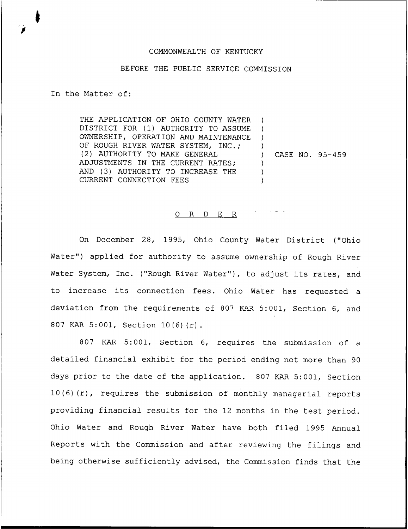# COMMONWEALTH OF KENTUCKY

### BEFORE THE PUBLIC SERVICE COMMISSION

In the Matter of:

THE APPLICATION OF OHIO COUNTY WATER DISTRICT FOR (1) AUTHORITY TO ASSUME OWNERSHIP, OPERATION AND MAINTENANCE OF ROUGH RIVER WATER SYSTEM, INC.; (2) AUTHORITY TO MAKE GENERAL ADJUSTMENTS IN THE CURRENT RATES; AND (3) AUTHORITY TO INCREASE THE CURRENT CONNECTION FEES ) ) ) ) ) CASE NO. 95-459 ) ) )

#### 0 R <sup>D</sup> E R

On December 28, 1995, Ohio County Water District ("Ohio Water") applied for authority to assume ownership of Rough River Water System, Inc. ("Rough River Water"), to adjust its rates, and to increase its connection fees. Ohio Water has requested <sup>a</sup> deviation from the requirements of 807 KAR 5:001, Section 6, and <sup>807</sup> KAR 5:001, Section 10(6)(r).

807 KAR 5:001, Section 6, requires the submission of a detailed financial exhibit for the period ending not more than 90 days prior to the date of the application. 807 KAR 5:001, Section 10(6)(r), requires the submission of monthly managerial reports providing financial results for the 12 months in the test period. Ohio Water and Rough River Water have both filed 1995 Annual Reports with the Commission and after reviewing the filings and being otherwise sufficiently advised, the Commission finds that the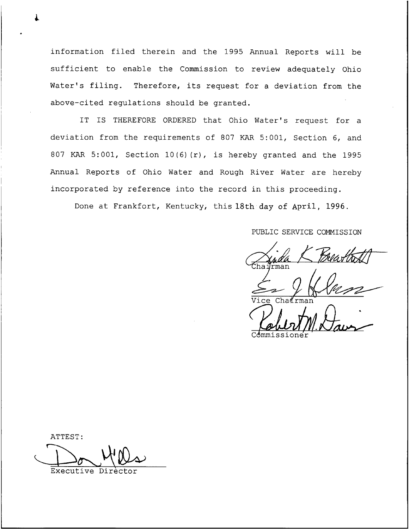information filed therein and the 1995 Annual Reports will be sufficient to enable the Commission to review adequately Ohio Water's filing. Therefore, its request for <sup>a</sup> deviation from the above-cited regulations should be granted.

IT IS THEREFORE ORDERED that Ohio Water's request for a deviation from the requirements of 807 KAR 5:001, Section 6, and 807 KAR 5:001, Section 10(6}(r), is hereby granted and the 1995 Annual Reports of Ohio Water and Rough River Water are hereby incorporated by reference into the record in this proceeding.

Done at Frankfort, Kentucky, this 18th day of April, 1996.

PUBLIC SERVICE COMNISSION

 $P_{max}$  K Breathold rman

 $\gamma$ Vice Chairma

Commissione

ATTEST: Executive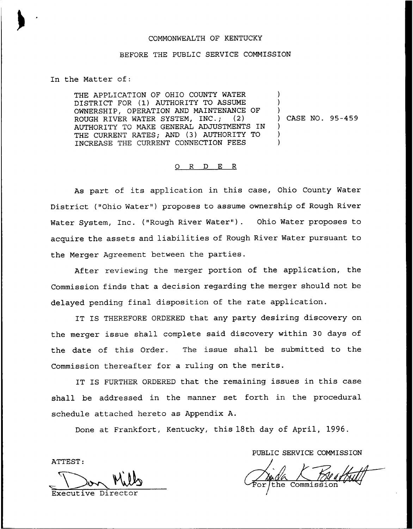# COMMONWEALTH OF KENTUCKY

# BEFORE THE PUBLIC SERVICE COMMISSION

# In the Matter of:

THE APPLICATION OF OHIO COUNTY WATER DISTRICT FOR (1) AUTHORITY TO ASSUME OWNERSHIP, OPERATION AND MAINTENANCE OF ROUGH RIVER WATER SYSTEM, INC.; (2) AUTHORITY TO MAKE GENERAL ADJUSTMENTS IN THE CURRENT RATES; AND (3) AUTHORITY TO INCREASE THE CURRENT CONNECTION FEES ) ) ) ) CASE NO. 95-459 ) ) )

#### O R D E R

As part of its application in this case, Ohio County Water District ("Ohio Water" ) proposes to assume ownership of Rough River Water System, Inc. ("Rough River Water"). Ohio Water proposes to acquire the assets and liabilities of Rough River Water pursuant to the Merger Agreement between the parties.

After reviewing the merger portion of the application, the Commission finds that a decision regarding the merger should not be delayed pending final disposition of the rate application.

IT IS THEREFORE ORDERED that any party desiring discovery on the merger issue shall complete said discovery within 30 days of the date of this Order. The issue shall be submitted to the Commission thereafter for a ruling on the merits.

IT IS FURTHER ORDERED that the remaining issues in this case shall be addressed in the manner set forth in the procedural schedule attached hereto as Appendix A.

Done at Frankfort, Kentucky, this 18th day of April, 1996.

ATTEST:

<u>Mills</u> Executive Direc

PUBLIC SERVICE COMMISSION

the Commission